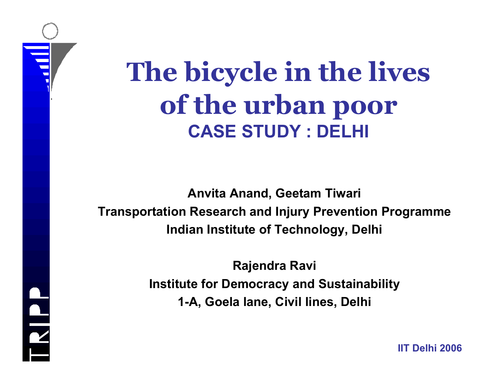# **The bicycle in the lives of the urban poor CASE STUDY : DELHI**

**Anvita Anand, Geetam Tiwari Transportation Research and Injury Prevention Programme Indian Institute of Technology, Delhi**

> **Rajendra Ravi Institute for Democracy and Sustainability 1-A, Goela lane, Civil lines, Delhi**

RIPP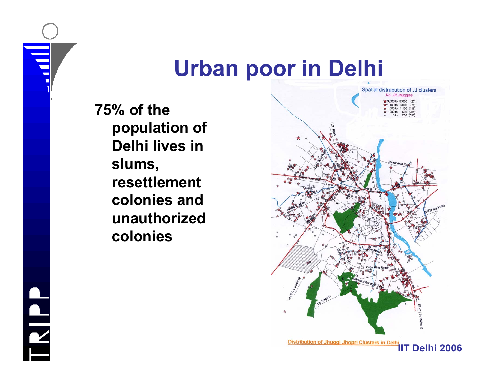### **Urban poor in Delhi**

**75% of the population of Delhi lives in slums, resettlement colonies and unauthorized colonies**



TRIPP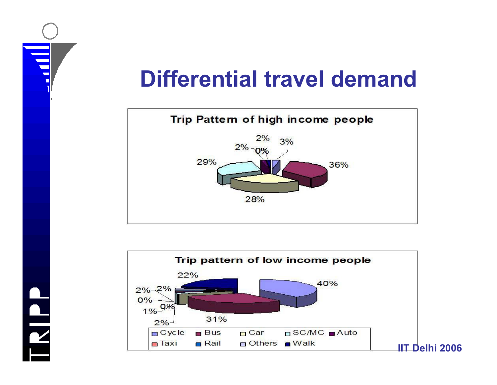## **Differential travel demand**



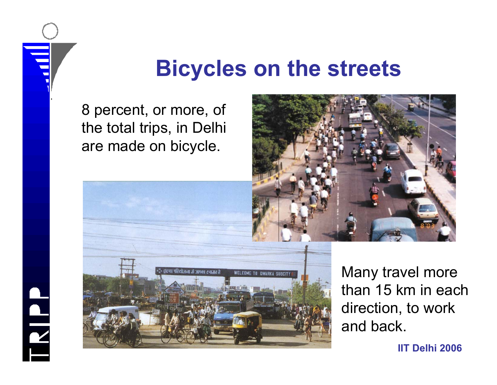### **Bicycles on the streets**

8 percent, or more, of the total trips, in Delhi are made on bicycle.

TRIPP





Many travel more than 15 km in each direction, to work and back.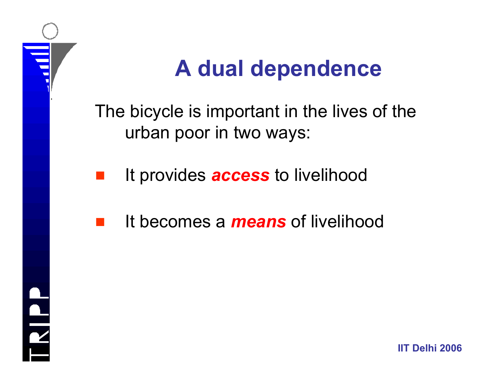

## **A dual dependence**

The bicycle is important in the lives of the urban poor in two ways:

It provides *access* to livelihood

It becomes a *means* of livelihood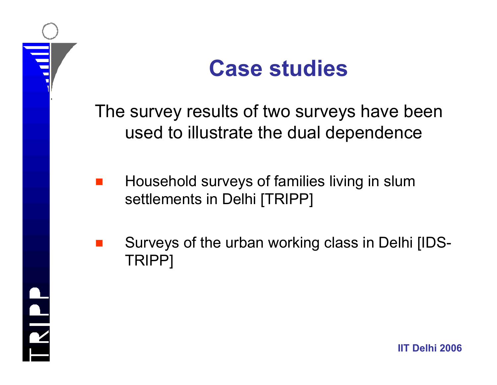



The survey results of two surveys have been used to illustrate the dual dependence

- g Household surveys of families living in slum settlements in Delhi [TRIPP]
- Surveys of the urban working class in Delhi [IDS-TRIPP]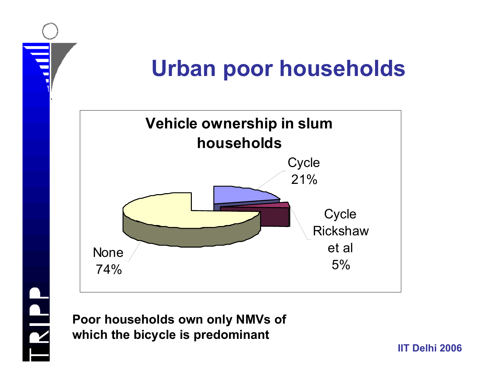

### **Urban poor households**



**Poor households own only NMVs of which the bicycle is predominant**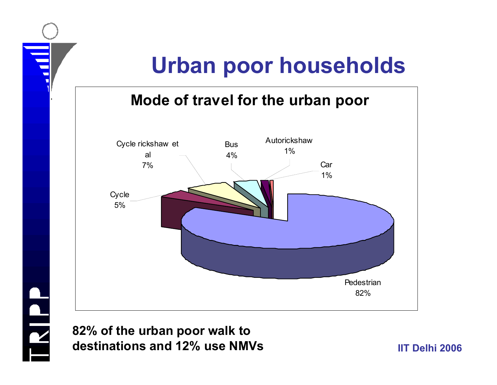## **Urban poor households**

### **Mode of travel for the urban poor**



**82% of the urban poor walk to destinations and 12% use NMVs**

ERIPP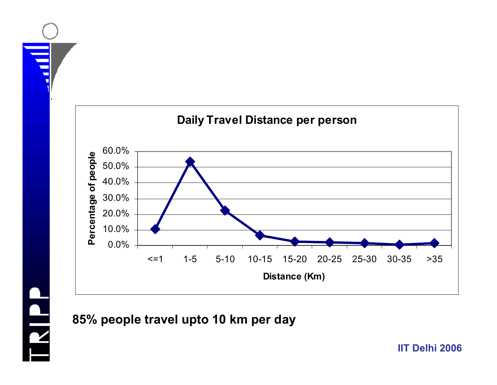



### **85% people travel upto 10 km per day**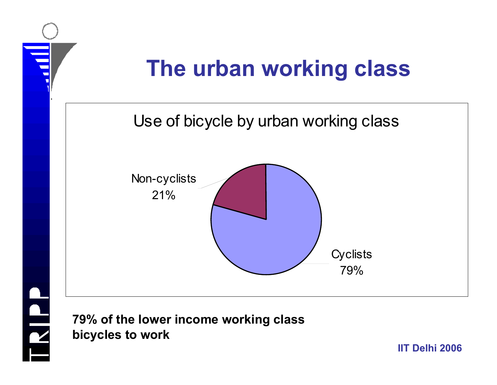

**79% of the lower income working class bicycles to work**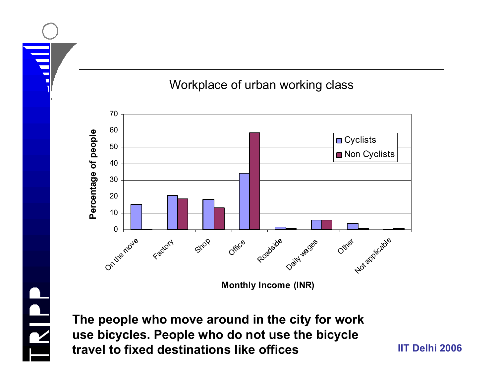

**The people who move around in the city for work use bicycles. People who do not use the bicycle travel to fixed destinations like offices**

HIND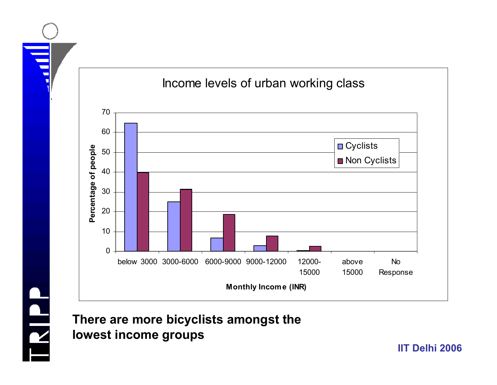



**There are more bicyclists amongst the lowest income groups**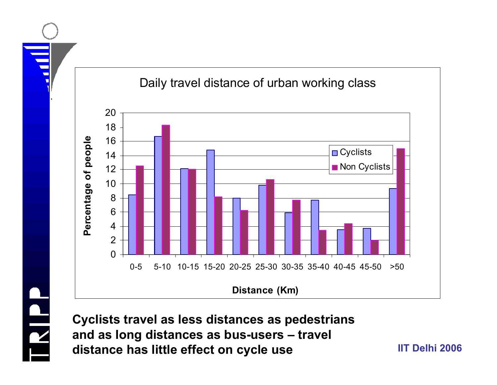

**Cyclists travel as less distances as pedestrians and as long distances as bus-users – travel distance has little effect on cycle use**

**IIT Delhi 2006**



#### Daily travel distance of urban working class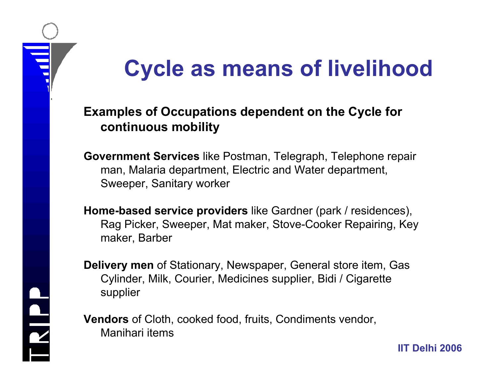# **Cycle as means of livelihood**

### **Examples of Occupations dependent on the Cycle for continuous mobility**

**Government Services** like Postman, Telegraph, Telephone repair man, Malaria department, Electric and Water department, Sweeper, Sanitary worker

**Home-based service providers** like Gardner (park / residences), Rag Picker, Sweeper, Mat maker, Stove-Cooker Repairing, Key maker, Barber

**Delivery men** of Stationary, Newspaper, General store item, Gas Cylinder, Milk, Courier, Medicines supplier, Bidi / Cigarette supplier

**IIT Delhi 2006**

**Vendors** of Cloth, cooked food, fruits, Condiments vendor, Manihari items

RIPP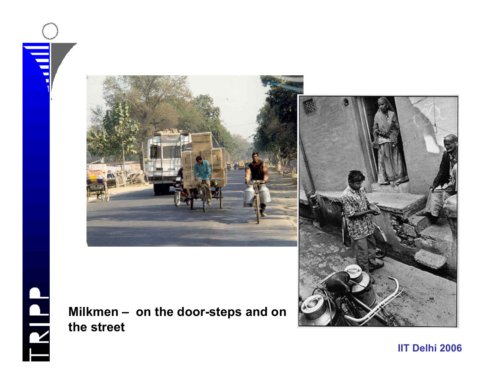





#### **Milkmen – on the door-steps and on the street**

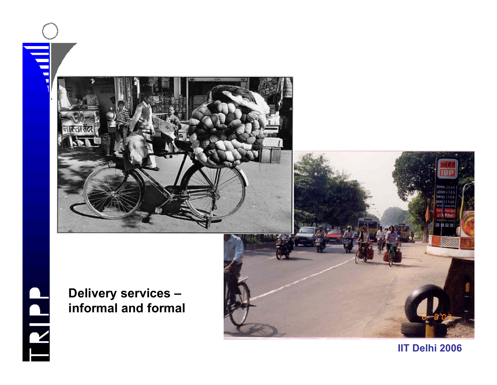





**Delivery services – informal and formal**

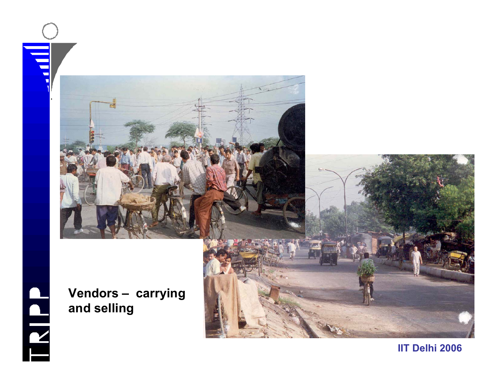